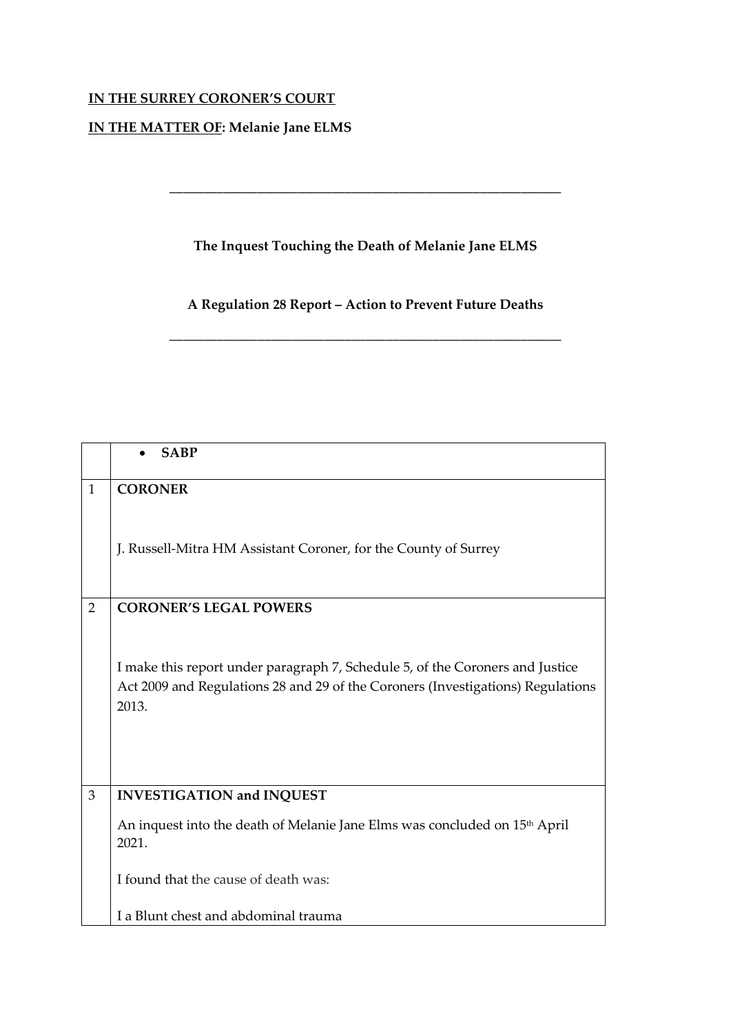## **IN THE SURREY CORONER'S COURT**

## **IN THE MATTER OF: Melanie Jane ELMS**

## **The Inquest Touching the Death of Melanie Jane ELMS**

**\_\_\_\_\_\_\_\_\_\_\_\_\_\_\_\_\_\_\_\_\_\_\_\_\_\_\_\_\_\_\_\_\_\_\_\_\_\_\_\_\_\_\_\_\_\_\_\_\_\_\_\_\_\_\_\_\_\_**

**A Regulation 28 Report – Action to Prevent Future Deaths**

\_\_\_\_\_\_\_\_\_\_\_\_\_\_\_\_\_\_\_\_\_\_\_\_\_\_\_\_\_\_\_\_\_\_\_\_\_\_\_\_\_\_\_\_\_\_\_\_\_\_\_\_\_\_\_\_\_\_

|                | <b>SABP</b>                                                                                                                                                               |
|----------------|---------------------------------------------------------------------------------------------------------------------------------------------------------------------------|
| $\mathbf{1}$   | <b>CORONER</b>                                                                                                                                                            |
|                | J. Russell-Mitra HM Assistant Coroner, for the County of Surrey                                                                                                           |
| $\overline{2}$ | <b>CORONER'S LEGAL POWERS</b>                                                                                                                                             |
|                | I make this report under paragraph 7, Schedule 5, of the Coroners and Justice<br>Act 2009 and Regulations 28 and 29 of the Coroners (Investigations) Regulations<br>2013. |
| 3              | <b>INVESTIGATION and INQUEST</b>                                                                                                                                          |
|                | An inquest into the death of Melanie Jane Elms was concluded on 15 <sup>th</sup> April<br>2021.                                                                           |
|                | I found that the cause of death was:                                                                                                                                      |
|                | I a Blunt chest and abdominal trauma                                                                                                                                      |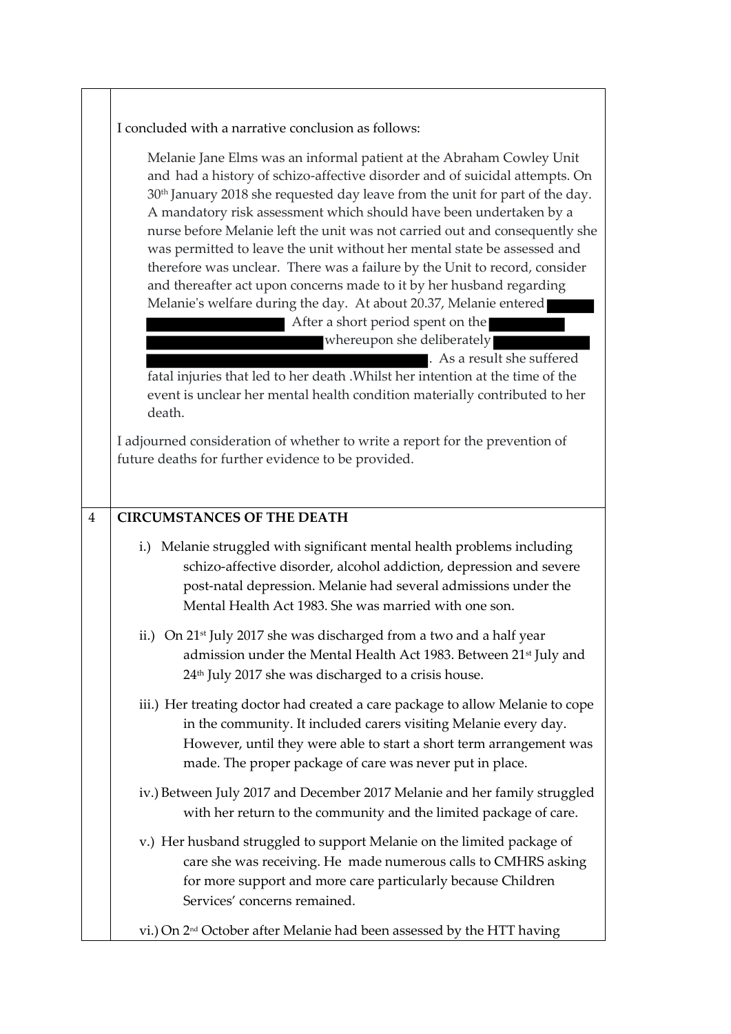|                | I concluded with a narrative conclusion as follows:                                                                                                                                                                                                                                                                                                                                                                                                                                                                                                                                                                                                                                                                                                                                                                                                                                                                                                                                    |
|----------------|----------------------------------------------------------------------------------------------------------------------------------------------------------------------------------------------------------------------------------------------------------------------------------------------------------------------------------------------------------------------------------------------------------------------------------------------------------------------------------------------------------------------------------------------------------------------------------------------------------------------------------------------------------------------------------------------------------------------------------------------------------------------------------------------------------------------------------------------------------------------------------------------------------------------------------------------------------------------------------------|
|                | Melanie Jane Elms was an informal patient at the Abraham Cowley Unit<br>and had a history of schizo-affective disorder and of suicidal attempts. On<br>30 <sup>th</sup> January 2018 she requested day leave from the unit for part of the day.<br>A mandatory risk assessment which should have been undertaken by a<br>nurse before Melanie left the unit was not carried out and consequently she<br>was permitted to leave the unit without her mental state be assessed and<br>therefore was unclear. There was a failure by the Unit to record, consider<br>and thereafter act upon concerns made to it by her husband regarding<br>Melanie's welfare during the day. At about 20.37, Melanie entered<br>After a short period spent on the<br>whereupon she deliberately<br>. As a result she suffered<br>fatal injuries that led to her death . Whilst her intention at the time of the<br>event is unclear her mental health condition materially contributed to her<br>death. |
|                | I adjourned consideration of whether to write a report for the prevention of<br>future deaths for further evidence to be provided.                                                                                                                                                                                                                                                                                                                                                                                                                                                                                                                                                                                                                                                                                                                                                                                                                                                     |
| $\overline{4}$ | <b>CIRCUMSTANCES OF THE DEATH</b>                                                                                                                                                                                                                                                                                                                                                                                                                                                                                                                                                                                                                                                                                                                                                                                                                                                                                                                                                      |
|                | i.) Melanie struggled with significant mental health problems including<br>schizo-affective disorder, alcohol addiction, depression and severe<br>post-natal depression. Melanie had several admissions under the<br>Mental Health Act 1983. She was married with one son.                                                                                                                                                                                                                                                                                                                                                                                                                                                                                                                                                                                                                                                                                                             |
|                | ii.) On 21 <sup>st</sup> July 2017 she was discharged from a two and a half year<br>admission under the Mental Health Act 1983. Between 21 <sup>st</sup> July and<br>24 <sup>th</sup> July 2017 she was discharged to a crisis house.                                                                                                                                                                                                                                                                                                                                                                                                                                                                                                                                                                                                                                                                                                                                                  |
|                | iii.) Her treating doctor had created a care package to allow Melanie to cope<br>in the community. It included carers visiting Melanie every day.<br>However, until they were able to start a short term arrangement was<br>made. The proper package of care was never put in place.                                                                                                                                                                                                                                                                                                                                                                                                                                                                                                                                                                                                                                                                                                   |
|                | iv.) Between July 2017 and December 2017 Melanie and her family struggled<br>with her return to the community and the limited package of care.                                                                                                                                                                                                                                                                                                                                                                                                                                                                                                                                                                                                                                                                                                                                                                                                                                         |
|                | v.) Her husband struggled to support Melanie on the limited package of<br>care she was receiving. He made numerous calls to CMHRS asking<br>for more support and more care particularly because Children<br>Services' concerns remained.                                                                                                                                                                                                                                                                                                                                                                                                                                                                                                                                                                                                                                                                                                                                               |
|                | vi.) On 2 <sup>nd</sup> October after Melanie had been assessed by the HTT having                                                                                                                                                                                                                                                                                                                                                                                                                                                                                                                                                                                                                                                                                                                                                                                                                                                                                                      |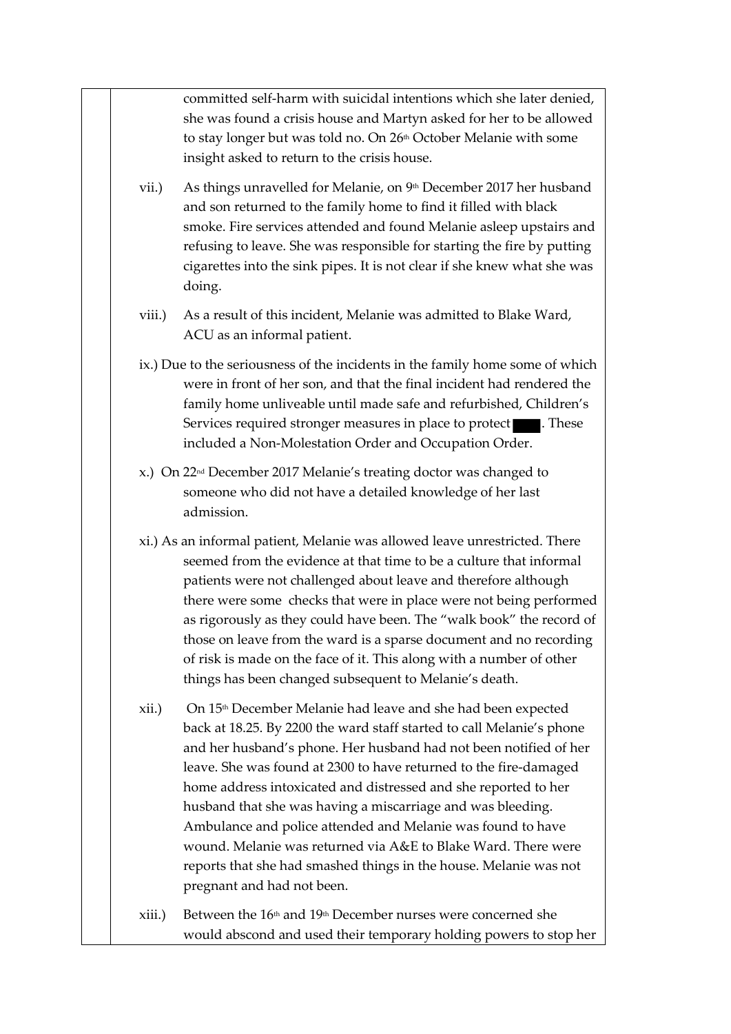committed self-harm with suicidal intentions which she later denied, she was found a crisis house and Martyn asked for her to be allowed to stay longer but was told no. On 26<sup>th</sup> October Melanie with some insight asked to return to the crisis house.

- vii.) As things unravelled for Melanie, on  $9<sup>th</sup>$  December 2017 her husband and son returned to the family home to find it filled with black smoke. Fire services attended and found Melanie asleep upstairs and refusing to leave. She was responsible for starting the fire by putting cigarettes into the sink pipes. It is not clear if she knew what she was doing.
- viii.) As a result of this incident, Melanie was admitted to Blake Ward, ACU as an informal patient.
- ix.) Due to the seriousness of the incidents in the family home some of which were in front of her son, and that the final incident had rendered the family home unliveable until made safe and refurbished, Children's Services required stronger measures in place to protect **. These** included a Non-Molestation Order and Occupation Order.
- x.) On 22nd December 2017 Melanie's treating doctor was changed to someone who did not have a detailed knowledge of her last admission.
- xi.) As an informal patient, Melanie was allowed leave unrestricted. There seemed from the evidence at that time to be a culture that informal patients were not challenged about leave and therefore although there were some checks that were in place were not being performed as rigorously as they could have been. The "walk book" the record of those on leave from the ward is a sparse document and no recording of risk is made on the face of it. This along with a number of other things has been changed subsequent to Melanie's death.
- xii.) On 15<sup>th</sup> December Melanie had leave and she had been expected back at 18.25. By 2200 the ward staff started to call Melanie's phone and her husband's phone. Her husband had not been notified of her leave. She was found at 2300 to have returned to the fire-damaged home address intoxicated and distressed and she reported to her husband that she was having a miscarriage and was bleeding. Ambulance and police attended and Melanie was found to have wound. Melanie was returned via A&E to Blake Ward. There were reports that she had smashed things in the house. Melanie was not pregnant and had not been.
- $xiii.$ ) Between the  $16<sup>th</sup>$  and  $19<sup>th</sup>$  December nurses were concerned she would abscond and used their temporary holding powers to stop her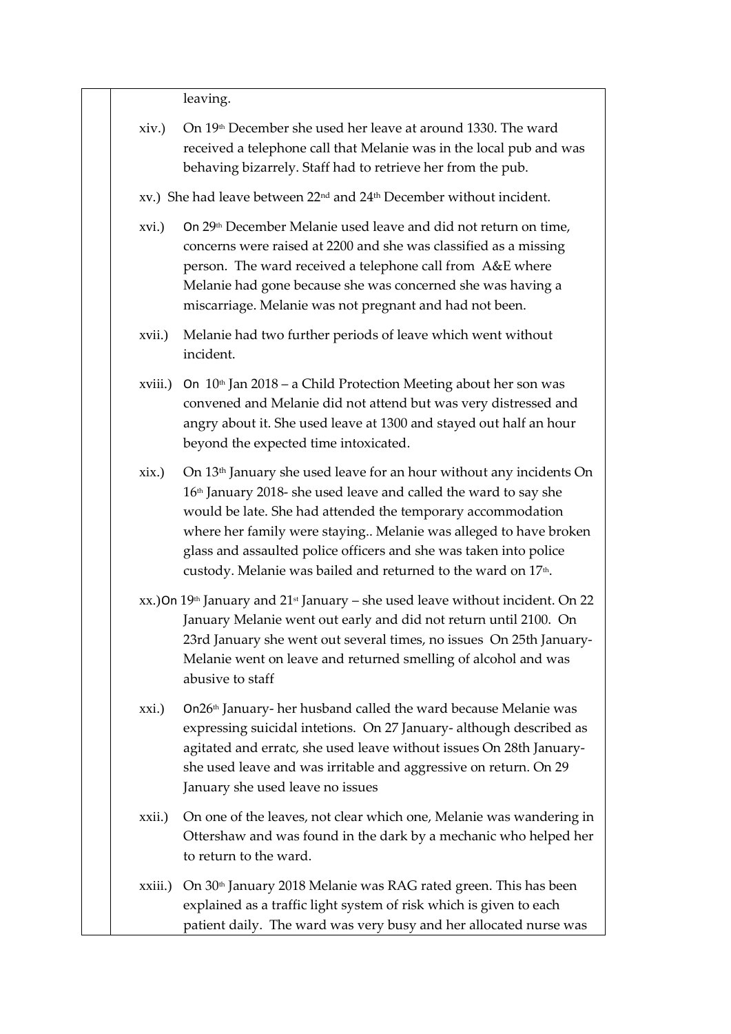|          | leaving.                                                                                                                                                                                                                                                                                                                                                                                                                                              |
|----------|-------------------------------------------------------------------------------------------------------------------------------------------------------------------------------------------------------------------------------------------------------------------------------------------------------------------------------------------------------------------------------------------------------------------------------------------------------|
| xiv.)    | On 19th December she used her leave at around 1330. The ward<br>received a telephone call that Melanie was in the local pub and was<br>behaving bizarrely. Staff had to retrieve her from the pub.                                                                                                                                                                                                                                                    |
|          | xv.) She had leave between 22 <sup>nd</sup> and 24 <sup>th</sup> December without incident.                                                                                                                                                                                                                                                                                                                                                           |
| xvi.)    | On 29 <sup>th</sup> December Melanie used leave and did not return on time,<br>concerns were raised at 2200 and she was classified as a missing<br>person. The ward received a telephone call from A&E where<br>Melanie had gone because she was concerned she was having a<br>miscarriage. Melanie was not pregnant and had not been.                                                                                                                |
| xvii.)   | Melanie had two further periods of leave which went without<br>incident.                                                                                                                                                                                                                                                                                                                                                                              |
|          | xviii.) On $10th$ Jan $2018$ – a Child Protection Meeting about her son was<br>convened and Melanie did not attend but was very distressed and<br>angry about it. She used leave at 1300 and stayed out half an hour<br>beyond the expected time intoxicated.                                                                                                                                                                                         |
| $x$ ix.) | On 13 <sup>th</sup> January she used leave for an hour without any incidents On<br>16 <sup>th</sup> January 2018- she used leave and called the ward to say she<br>would be late. She had attended the temporary accommodation<br>where her family were staying Melanie was alleged to have broken<br>glass and assaulted police officers and she was taken into police<br>custody. Melanie was bailed and returned to the ward on 17 <sup>th</sup> . |
|          | $xx$ .) On 19 <sup>th</sup> January and 21 <sup>st</sup> January – she used leave without incident. On 22<br>January Melanie went out early and did not return until 2100. On<br>23rd January she went out several times, no issues On 25th January-<br>Melanie went on leave and returned smelling of alcohol and was<br>abusive to staff                                                                                                            |
| xxi.)    | On26 <sup>th</sup> January- her husband called the ward because Melanie was<br>expressing suicidal intetions. On 27 January- although described as<br>agitated and erratc, she used leave without issues On 28th January-<br>she used leave and was irritable and aggressive on return. On 29<br>January she used leave no issues                                                                                                                     |
| xxii.)   | On one of the leaves, not clear which one, Melanie was wandering in<br>Ottershaw and was found in the dark by a mechanic who helped her<br>to return to the ward.                                                                                                                                                                                                                                                                                     |
| xxiii.)  | On 30 <sup>th</sup> January 2018 Melanie was RAG rated green. This has been<br>explained as a traffic light system of risk which is given to each<br>patient daily. The ward was very busy and her allocated nurse was                                                                                                                                                                                                                                |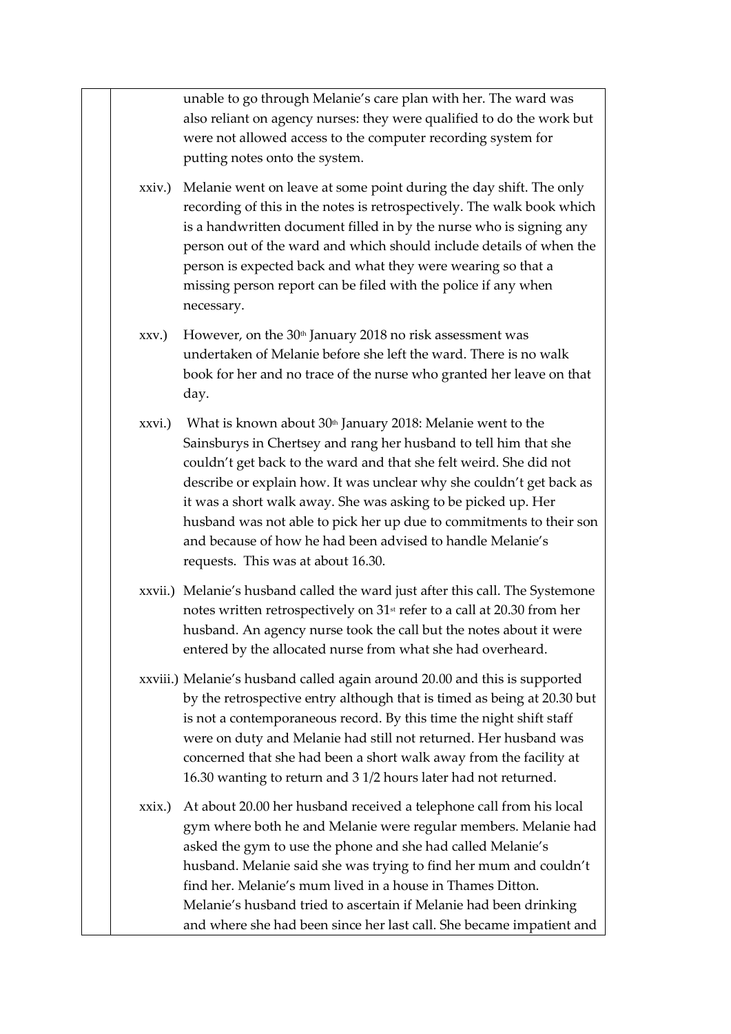unable to go through Melanie's care plan with her. The ward was also reliant on agency nurses: they were qualified to do the work but were not allowed access to the computer recording system for putting notes onto the system.

- xxiv.) Melanie went on leave at some point during the day shift. The only recording of this in the notes is retrospectively. The walk book which is a handwritten document filled in by the nurse who is signing any person out of the ward and which should include details of when the person is expected back and what they were wearing so that a missing person report can be filed with the police if any when necessary.
- xxv.) However, on the  $30<sup>th</sup>$  January 2018 no risk assessment was undertaken of Melanie before she left the ward. There is no walk book for her and no trace of the nurse who granted her leave on that day.
- xxvi.) What is known about  $30<sup>th</sup>$  January 2018: Melanie went to the Sainsburys in Chertsey and rang her husband to tell him that she couldn't get back to the ward and that she felt weird. She did not describe or explain how. It was unclear why she couldn't get back as it was a short walk away. She was asking to be picked up. Her husband was not able to pick her up due to commitments to their son and because of how he had been advised to handle Melanie's requests. This was at about 16.30.
- xxvii.) Melanie's husband called the ward just after this call. The Systemone notes written retrospectively on 31<sup>st</sup> refer to a call at 20.30 from her husband. An agency nurse took the call but the notes about it were entered by the allocated nurse from what she had overheard.
- xxviii.) Melanie's husband called again around 20.00 and this is supported by the retrospective entry although that is timed as being at 20.30 but is not a contemporaneous record. By this time the night shift staff were on duty and Melanie had still not returned. Her husband was concerned that she had been a short walk away from the facility at 16.30 wanting to return and 3 1/2 hours later had not returned.
- xxix.) At about 20.00 her husband received a telephone call from his local gym where both he and Melanie were regular members. Melanie had asked the gym to use the phone and she had called Melanie's husband. Melanie said she was trying to find her mum and couldn't find her. Melanie's mum lived in a house in Thames Ditton. Melanie's husband tried to ascertain if Melanie had been drinking and where she had been since her last call. She became impatient and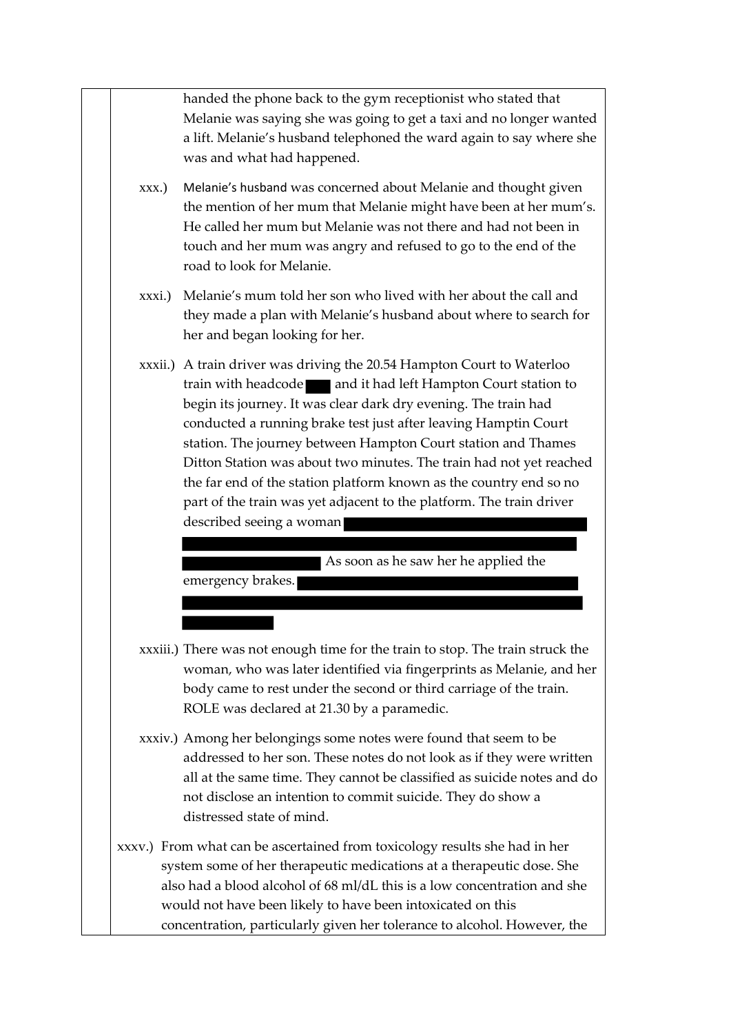handed the phone back to the gym receptionist who stated that Melanie was saying she was going to get a taxi and no longer wanted a lift. Melanie's husband telephoned the ward again to say where she was and what had happened.

- xxx.) Melanie's husband was concerned about Melanie and thought given the mention of her mum that Melanie might have been at her mum's. He called her mum but Melanie was not there and had not been in touch and her mum was angry and refused to go to the end of the road to look for Melanie.
- xxxi.) Melanie's mum told her son who lived with her about the call and they made a plan with Melanie's husband about where to search for her and began looking for her.
- xxxii.) A train driver was driving the 20.54 Hampton Court to Waterloo train with headcode and it had left Hampton Court station to begin its journey. It was clear dark dry evening. The train had conducted a running brake test just after leaving Hamptin Court station. The journey between Hampton Court station and Thames Ditton Station was about two minutes. The train had not yet reached the far end of the station platform known as the country end so no part of the train was yet adjacent to the platform. The train driver described seeing a woman

As soon as he saw her he applied the

emergency brakes.

- xxxiii.) There was not enough time for the train to stop. The train struck the woman, who was later identified via fingerprints as Melanie, and her body came to rest under the second or third carriage of the train. ROLE was declared at 21.30 by a paramedic.
- xxxiv.) Among her belongings some notes were found that seem to be addressed to her son. These notes do not look as if they were written all at the same time. They cannot be classified as suicide notes and do not disclose an intention to commit suicide. They do show a distressed state of mind.
- xxxv.) From what can be ascertained from toxicology results she had in her system some of her therapeutic medications at a therapeutic dose. She also had a blood alcohol of 68 ml/dL this is a low concentration and she would not have been likely to have been intoxicated on this concentration, particularly given her tolerance to alcohol. However, the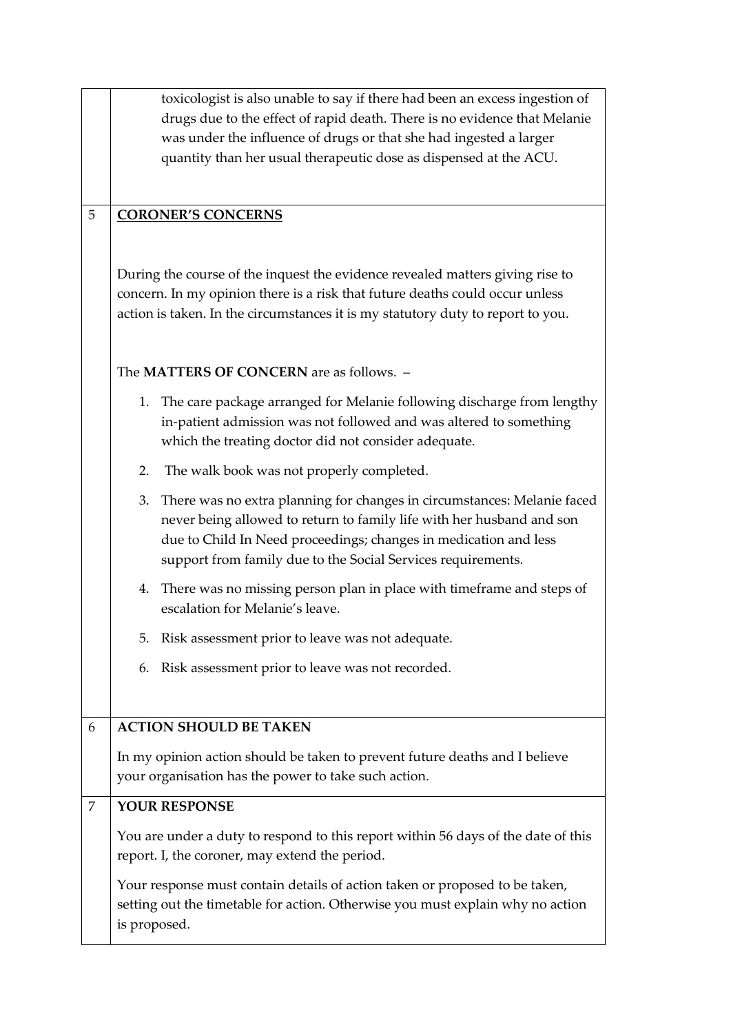|   | toxicologist is also unable to say if there had been an excess ingestion of       |  |
|---|-----------------------------------------------------------------------------------|--|
|   | drugs due to the effect of rapid death. There is no evidence that Melanie         |  |
|   | was under the influence of drugs or that she had ingested a larger                |  |
|   | quantity than her usual therapeutic dose as dispensed at the ACU.                 |  |
|   |                                                                                   |  |
| 5 | <b>CORONER'S CONCERNS</b>                                                         |  |
|   |                                                                                   |  |
|   |                                                                                   |  |
|   | During the course of the inquest the evidence revealed matters giving rise to     |  |
|   | concern. In my opinion there is a risk that future deaths could occur unless      |  |
|   | action is taken. In the circumstances it is my statutory duty to report to you.   |  |
|   |                                                                                   |  |
|   | The MATTERS OF CONCERN are as follows. -                                          |  |
|   |                                                                                   |  |
|   | 1. The care package arranged for Melanie following discharge from lengthy         |  |
|   | in-patient admission was not followed and was altered to something                |  |
|   | which the treating doctor did not consider adequate.                              |  |
|   | The walk book was not properly completed.<br>2.                                   |  |
|   | There was no extra planning for changes in circumstances: Melanie faced<br>3.     |  |
|   | never being allowed to return to family life with her husband and son             |  |
|   | due to Child In Need proceedings; changes in medication and less                  |  |
|   | support from family due to the Social Services requirements.                      |  |
|   | 4. There was no missing person plan in place with timeframe and steps of          |  |
|   | escalation for Melanie's leave.                                                   |  |
|   | 5. Risk assessment prior to leave was not adequate.                               |  |
|   |                                                                                   |  |
|   | 6. Risk assessment prior to leave was not recorded.                               |  |
|   |                                                                                   |  |
| 6 | <b>ACTION SHOULD BE TAKEN</b>                                                     |  |
|   | In my opinion action should be taken to prevent future deaths and I believe       |  |
|   | your organisation has the power to take such action.                              |  |
| 7 | YOUR RESPONSE                                                                     |  |
|   |                                                                                   |  |
|   | You are under a duty to respond to this report within 56 days of the date of this |  |
|   | report. I, the coroner, may extend the period.                                    |  |
|   | Your response must contain details of action taken or proposed to be taken,       |  |
|   | setting out the timetable for action. Otherwise you must explain why no action    |  |
|   | is proposed.                                                                      |  |
|   |                                                                                   |  |